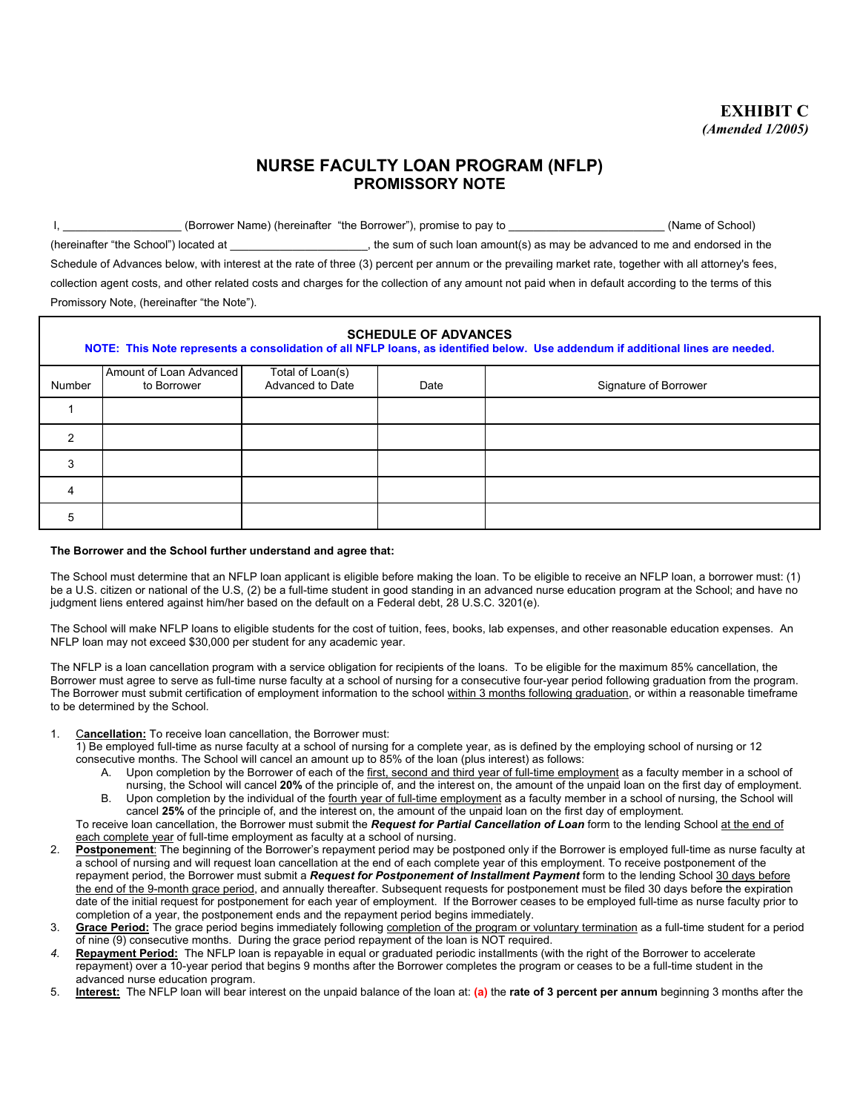## **NURSE FACULTY LOAN PROGRAM (NFLP) PROMISSORY NOTE**

I, \_\_\_\_\_\_\_\_\_\_\_\_\_\_\_\_\_\_\_\_\_(Borrower Name) (hereinafter "the Borrower"), promise to pay to \_\_\_\_\_\_\_\_\_\_\_\_\_\_\_\_\_\_\_\_\_\_\_\_\_\_\_\_\_\_(Name of School) (hereinafter "the School") located at  $\blacksquare$ , the sum of such loan amount(s) as may be advanced to me and endorsed in the Schedule of Advances below, with interest at the rate of three (3) percent per annum or the prevailing market rate, together with all attorney's fees, collection agent costs, and other related costs and charges for the collection of any amount not paid when in default according to the terms of this Promissory Note, (hereinafter "the Note").

| <b>SCHEDULE OF ADVANCES</b><br>NOTE: This Note represents a consolidation of all NFLP loans, as identified below. Use addendum if additional lines are needed. |                         |                  |      |                       |
|----------------------------------------------------------------------------------------------------------------------------------------------------------------|-------------------------|------------------|------|-----------------------|
|                                                                                                                                                                | Amount of Loan Advanced | Total of Loan(s) |      |                       |
| Number                                                                                                                                                         | to Borrower             | Advanced to Date | Date | Signature of Borrower |
|                                                                                                                                                                |                         |                  |      |                       |
| $\mathcal{P}$                                                                                                                                                  |                         |                  |      |                       |
| 3                                                                                                                                                              |                         |                  |      |                       |
| 4                                                                                                                                                              |                         |                  |      |                       |
| 5                                                                                                                                                              |                         |                  |      |                       |

## **The Borrower and the School further understand and agree that:**

The School must determine that an NFLP loan applicant is eligible before making the loan. To be eligible to receive an NFLP loan, a borrower must: (1) be a U.S. citizen or national of the U.S, (2) be a full-time student in good standing in an advanced nurse education program at the School; and have no judgment liens entered against him/her based on the default on a Federal debt, 28 U.S.C. 3201(e).

The School will make NFLP loans to eligible students for the cost of tuition, fees, books, lab expenses, and other reasonable education expenses. An NFLP loan may not exceed \$30,000 per student for any academic year.

The NFLP is a loan cancellation program with a service obligation for recipients of the loans. To be eligible for the maximum 85% cancellation, the Borrower must agree to serve as full-time nurse faculty at a school of nursing for a consecutive four-year period following graduation from the program. The Borrower must submit certification of employment information to the school within 3 months following graduation, or within a reasonable timeframe to be determined by the School.

1. C**ancellation:** To receive loan cancellation, the Borrower must:

1) Be employed full-time as nurse faculty at a school of nursing for a complete year, as is defined by the employing school of nursing or 12 consecutive months. The School will cancel an amount up to 85% of the loan (plus interest) as follows:

- A. Upon completion by the Borrower of each of the first, second and third year of full-time employment as a faculty member in a school of nursing, the School will cancel **20%** of the principle of, and the interest on, the amount of the unpaid loan on the first day of employment. B. Upon completion by the individual of the fourth year of full-time employment as a faculty member in a school of nursing, the School will
- cancel **25%** of the principle of, and the interest on, the amount of the unpaid loan on the first day of employment.

To receive loan cancellation, the Borrower must submit the *Request for Partial Cancellation of Loan* form to the lending School at the end of each complete year of full-time employment as faculty at a school of nursing.

- 2. **Postponement**: The beginning of the Borrower's repayment period may be postponed only if the Borrower is employed full-time as nurse faculty at a school of nursing and will request loan cancellation at the end of each complete year of this employment. To receive postponement of the repayment period, the Borrower must submit a *Request for Postponement of Installment Payment* form to the lending School 30 days before the end of the 9-month grace period, and annually thereafter. Subsequent requests for postponement must be filed 30 days before the expiration date of the initial request for postponement for each year of employment. If the Borrower ceases to be employed full-time as nurse faculty prior to completion of a year, the postponement ends and the repayment period begins immediately.
- 3. **Grace Period:** The grace period begins immediately following completion of the program or voluntary termination as a full-time student for a period of nine (9) consecutive months. During the grace period repayment of the loan is NOT required.
- *4.* **Repayment Period:** The NFLP loan is repayable in equal or graduated periodic installments (with the right of the Borrower to accelerate repayment) over a 10-year period that begins 9 months after the Borrower completes the program or ceases to be a full-time student in the advanced nurse education program.
- 5. **Interest:** The NFLP loan will bear interest on the unpaid balance of the loan at: **(a)** the **rate of 3 percent per annum** beginning 3 months after the